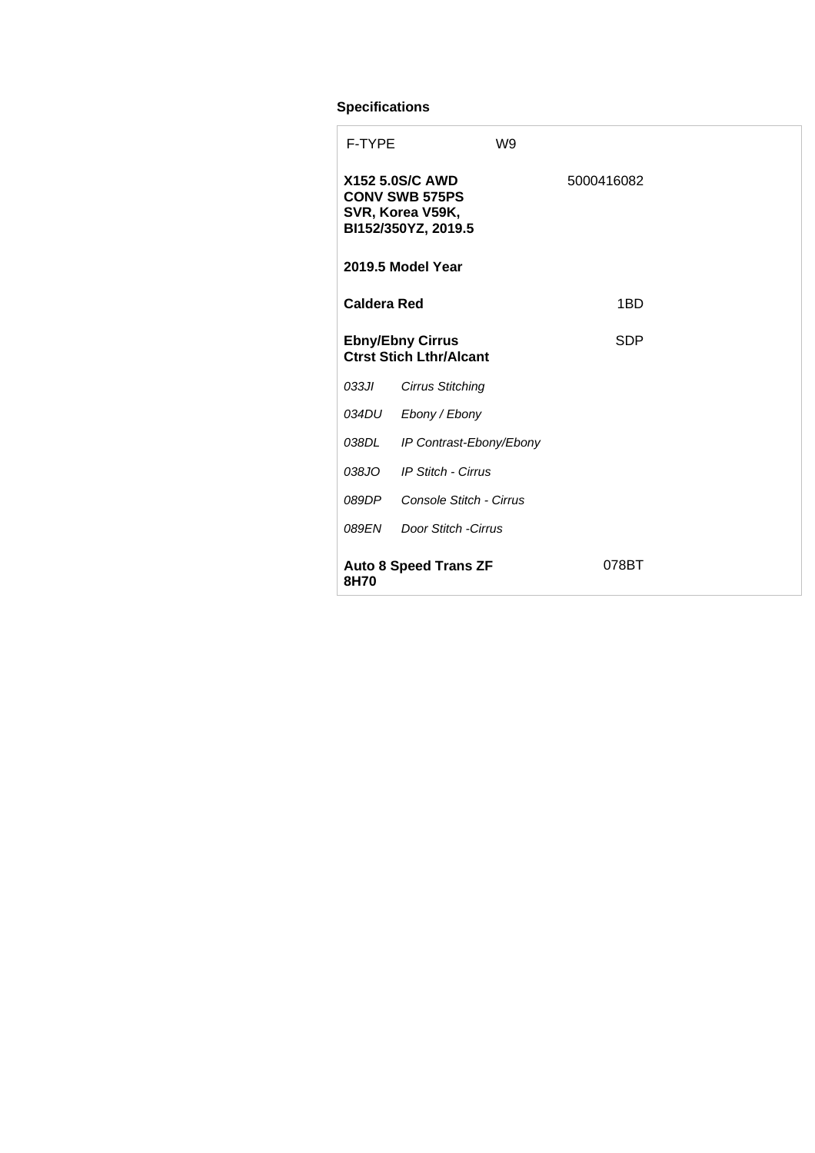## **Specifications**

| <b>F-TYPE</b>                        |                                                                                            | W9 |  |            |  |  |
|--------------------------------------|--------------------------------------------------------------------------------------------|----|--|------------|--|--|
|                                      | <b>X152 5.0S/C AWD</b><br><b>CONV SWB 575PS</b><br>SVR, Korea V59K,<br>BI152/350YZ, 2019.5 |    |  | 5000416082 |  |  |
| 2019.5 Model Year                    |                                                                                            |    |  |            |  |  |
| <b>Caldera Red</b>                   |                                                                                            |    |  | 1BD        |  |  |
|                                      | <b>Ebny/Ebny Cirrus</b><br><b>Ctrst Stich Lthr/Alcant</b>                                  |    |  | <b>SDP</b> |  |  |
| 033JI                                | <b>Cirrus Stitching</b>                                                                    |    |  |            |  |  |
| 034DU                                | Ebony / Ebony                                                                              |    |  |            |  |  |
| 038DL                                | IP Contrast-Ebony/Ebony                                                                    |    |  |            |  |  |
| 038JO                                | <b>IP Stitch - Cirrus</b>                                                                  |    |  |            |  |  |
| 089DP                                | Console Stitch - Cirrus                                                                    |    |  |            |  |  |
| 089EN                                | Door Stitch - Cirrus                                                                       |    |  |            |  |  |
| <b>Auto 8 Speed Trans ZF</b><br>8H70 |                                                                                            |    |  | 078BT      |  |  |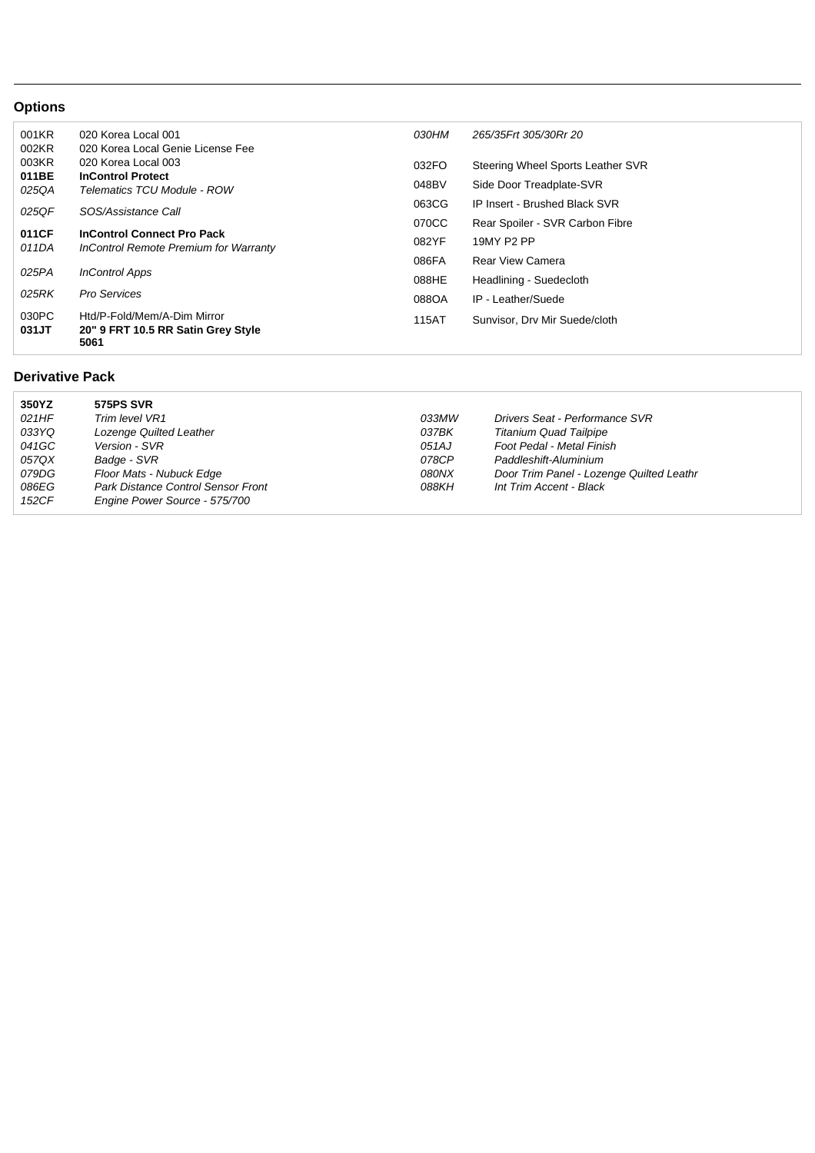## **Options**

| 001KR<br>002KR | 020 Korea Local 001<br>020 Korea Local Genie License Fee                   | <i>030HM</i> | 265/35Frt 305/30Rr 20             |
|----------------|----------------------------------------------------------------------------|--------------|-----------------------------------|
| 003KR          | 020 Korea Local 003<br><b>InControl Protect</b>                            | 032FO        | Steering Wheel Sports Leather SVR |
| 011BE<br>025QA | Telematics TCU Module - ROW                                                | 048BV        | Side Door Treadplate-SVR          |
| 025QF          | SOS/Assistance Call                                                        | 063CG        | IP Insert - Brushed Black SVR     |
|                |                                                                            | 070CC        | Rear Spoiler - SVR Carbon Fibre   |
| 011CF<br>011DA | <b>InControl Connect Pro Pack</b><br>InControl Remote Premium for Warranty | 082YF        | 19MY P2 PP                        |
|                |                                                                            | 086FA        | <b>Rear View Camera</b>           |
| 025PA          | <b>InControl Apps</b>                                                      | 088HE        | Headlining - Suedecloth           |
| 025RK          | <b>Pro Services</b>                                                        | 088OA        | IP - Leather/Suede                |
| 030PC<br>031JT | Htd/P-Fold/Mem/A-Dim Mirror<br>20" 9 FRT 10.5 RR Satin Grey Style<br>5061  | 115AT        | Sunvisor, Dry Mir Suede/cloth     |

## **Derivative Pack**

| 350YZ | <b>575PS SVR</b>                          |       |                                          |
|-------|-------------------------------------------|-------|------------------------------------------|
| 021HF | Trim level VR1                            | 033MW | Drivers Seat - Performance SVR           |
| 033YQ | Lozenge Quilted Leather                   | 037BK | <b>Titanium Quad Tailpipe</b>            |
| 041GC | Version - SVR                             | 051AJ | Foot Pedal - Metal Finish                |
| 057QX | Badge - SVR                               | 078CP | Paddleshift-Aluminium                    |
| 079DG | Floor Mats - Nubuck Edge                  | 080NX | Door Trim Panel - Lozenge Quilted Leathr |
| 086EG | <b>Park Distance Control Sensor Front</b> | 088KH | Int Trim Accent - Black                  |
| 152CF | Engine Power Source - 575/700             |       |                                          |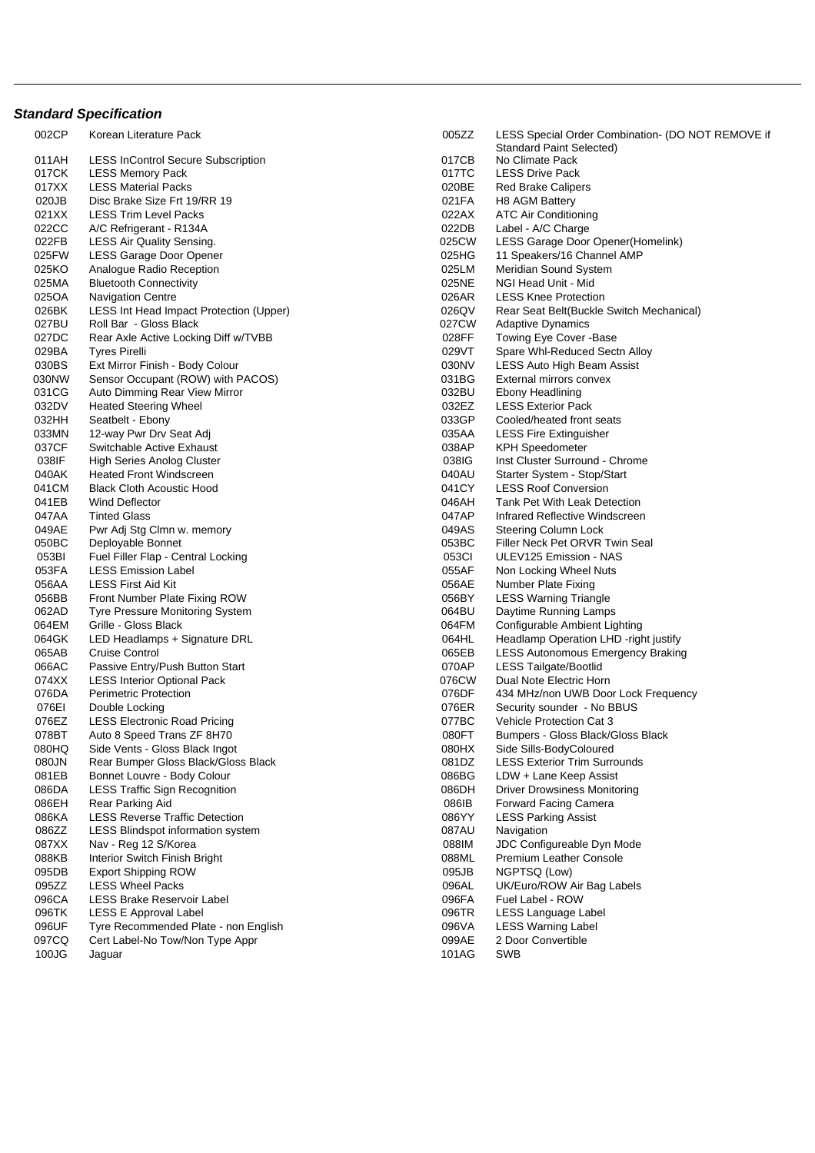## **Standard Specification**

002CP Korean Literature Pack 011AH LESS InControl Secure Subscription<br>017CK LESS Memory Pack LESS Memory Pack 017XX LESS Material Packs<br>020JB Disc Brake Size Frt 19 Disc Brake Size Frt 19/RR 19 021XX LESS Trim Level Packs 022CC A/C Refrigerant - R134A 022FB LESS Air Quality Sensing. 025FW LESS Garage Door Opener 025KO Analogue Radio Reception 025MA Bluetooth Connectivity 025OA Navigation Centre 026BK LESS Int Head Impact Protection (Upper)<br>027BU Roll Bar - Gloss Black Roll Bar - Gloss Black 027DC Rear Axle Active Locking Diff w/TVBB 029BA Tyres Pirelli 029VT Spare Whl-Reduced Sectn Alloy 030BS Ext Mirror Finish - Body Colour 030NW Sensor Occupant (ROW) with PACOS) 031CG Auto Dimming Rear View Mirror 032DV Heated Steering Wheel 032HH Seatbelt - Ebony 033MN 12-way Pwr Drv Seat Adj 037CF Switchable Active Exhaust 038IF High Series Anolog Cluster 040AK Heated Front Windscreen<br>041CM Black Cloth Acoustic Hood Black Cloth Acoustic Hood 041EB Wind Deflector 046AH Tank Pet With Leak Detection 047AA Tinted Glass 047AP Infrared Reflective Windscreen 049AE Pwr Adj Stg Clmn w. memory 050BC Deployable Bonnet 053BI Fuel Filler Flap - Central Locking 053FA LESS Emission Label 056AA LESS First Aid Kit 056BB Front Number Plate Fixing ROW 062AD Tyre Pressure Monitoring System 064EM Grille - Gloss Black<br>064GK LED Headlamps + 1 LED Headlamps + Signature DRL 065AB Cruise Control 066AC Passive Entry/Push Button Start<br>074XX LESS Interior Optional Pack LESS Interior Optional Pack 076DA Perimetric Protection 076EI Double Locking 076EZ LESS Electronic Road Pricing 078BT Auto 8 Speed Trans ZF 8H70 080HQ Side Vents - Gloss Black Ingot<br>080JN Rear Bumper Gloss Black/Glos Rear Bumper Gloss Black/Gloss Black 081EB Bonnet Louvre - Body Colour 086DA LESS Traffic Sign Recognition<br>086EH Rear Parking Aid Rear Parking Aid 086KA LESS Reverse Traffic Detection<br>086ZZ LESS Blindspot information syst LESS Blindspot information system 087XX Nav - Reg 12 S/Korea 088KB Interior Switch Finish Bright 095DB Export Shipping ROW<br>09577 LESS Wheel Packs LESS Wheel Packs 096CA LESS Brake Reservoir Label 096TK LESS E Approval Label<br>096UF Tvre Recommended Pla Tyre Recommended Plate - non English 097CQ Cert Label-No Tow/Non Type Appr 100JG Jaguar 101AG SWB

| 005ZZ | LESS Special Order Combination- (DO NOT REMOVE if |
|-------|---------------------------------------------------|
|       | <b>Standard Paint Selected)</b>                   |
| 017CB | No Climate Pack                                   |
| 017TC | <b>LESS Drive Pack</b>                            |
| 020BE | <b>Red Brake Calipers</b>                         |
| 021FA | H8 AGM Battery                                    |
| 022AX | <b>ATC Air Conditioning</b>                       |
| 022DB | Label - A/C Charge                                |
| 025CW | LESS Garage Door Opener(Homelink)                 |
| 025HG | 11 Speakers/16 Channel AMP                        |
| 025LM | Meridian Sound System                             |
| 025NE | NGI Head Unit - Mid                               |
| 026AR | <b>LESS Knee Protection</b>                       |
| 026QV | Rear Seat Belt(Buckle Switch Mechanical)          |
| 027CW | <b>Adaptive Dynamics</b>                          |
| 028FF | Towing Eye Cover - Base                           |
| 029VT | Spare Whl-Reduced Sectn Alloy                     |
| 030NV | LESS Auto High Beam Assist                        |
| 031BG | External mirrors convex                           |
| 032BU | Ebony Headlining                                  |
| 032EZ | <b>LESS Exterior Pack</b>                         |
| 033GP | Cooled/heated front seats                         |
| 035AA | <b>LESS Fire Extinguisher</b>                     |
| 038AP | <b>KPH Speedometer</b>                            |
| 038IG | Inst Cluster Surround - Chrome                    |
| 040AU | Starter System - Stop/Start                       |
| 041CY | <b>LESS Roof Conversion</b>                       |
| 046AH | <b>Tank Pet With Leak Detection</b>               |
| 047AP | Infrared Reflective Windscreen                    |
| 049AS | Steering Column Lock                              |
| 053BC | Filler Neck Pet ORVR Twin Seal                    |
| 053CI | ULEV125 Emission - NAS                            |
| 055AF | Non Locking Wheel Nuts                            |
| 056AE | <b>Number Plate Fixing</b>                        |
| 056BY | <b>LESS Warning Triangle</b>                      |
| 064BU | Daytime Running Lamps                             |
| 064FM | Configurable Ambient Lighting                     |
| 064HL | Headlamp Operation LHD -right justify             |
| 065EB | LESS Autonomous Emergency Braking                 |
| 070AP | <b>LESS Tailgate/Bootlid</b>                      |
| 076CW | Dual Note Electric Horn                           |
| 076DF | 434 MHz/non UWB Door Lock Frequency               |
| 076ER | Security sounder - No BBUS                        |
| 077BC | <b>Vehicle Protection Cat 3</b>                   |
| 080FT | Bumpers - Gloss Black/Gloss Black                 |
| 080HX | Side Sills-BodyColoured                           |
| 081DZ | <b>LESS Exterior Trim Surrounds</b>               |
| 086BG | LDW + Lane Keep Assist                            |
| 086DH | <b>Driver Drowsiness Monitoring</b>               |
| 086IB | <b>Forward Facing Camera</b>                      |
| 086YY | <b>LESS Parking Assist</b>                        |
| 087AU | Navigation                                        |
| 088IM | JDC Configureable Dyn Mode                        |
| 088ML | <b>Premium Leather Console</b>                    |
| 095JB | NGPTSQ (Low)                                      |
| 096AL | UK/Euro/ROW Air Bag Labels                        |
| 096FA | Fuel Label - ROW                                  |
| 096TR | LESS Language Label                               |
| 096VA | <b>LESS Warning Label</b>                         |
| 099AE | 2 Door Convertible                                |
| 101AG | SWB                                               |
|       |                                                   |